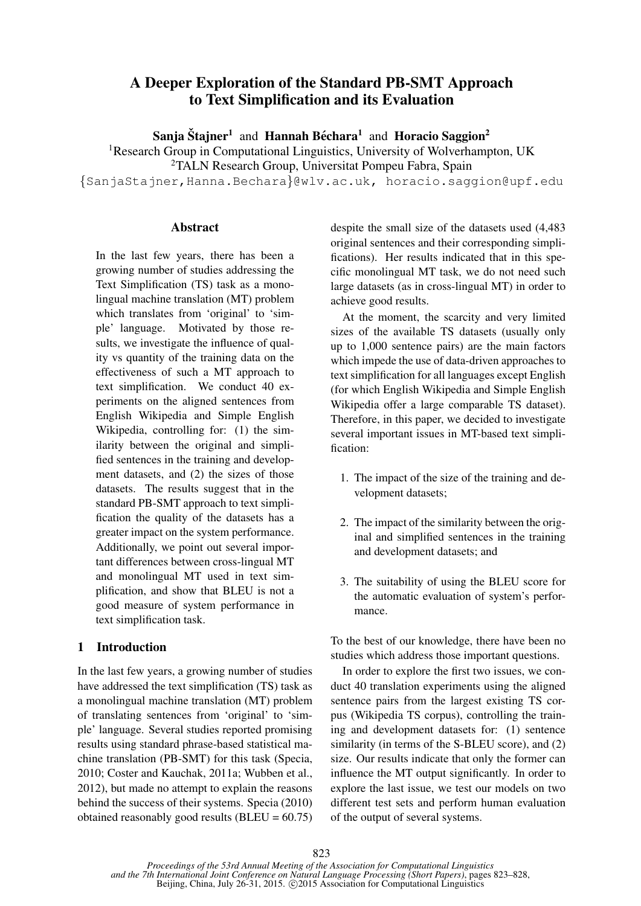# A Deeper Exploration of the Standard PB-SMT Approach to Text Simplification and its Evaluation

Sanja Štajner<sup>1</sup> and Hannah Béchara<sup>1</sup> and Horacio Saggion<sup>2</sup>

<sup>1</sup>Research Group in Computational Linguistics, University of Wolverhampton, UK

<sup>2</sup>TALN Research Group, Universitat Pompeu Fabra, Spain

{SanjaStajner,Hanna.Bechara}@wlv.ac.uk, horacio.saggion@upf.edu

## **Abstract**

In the last few years, there has been a growing number of studies addressing the Text Simplification (TS) task as a monolingual machine translation (MT) problem which translates from 'original' to 'simple' language. Motivated by those results, we investigate the influence of quality vs quantity of the training data on the effectiveness of such a MT approach to text simplification. We conduct 40 experiments on the aligned sentences from English Wikipedia and Simple English Wikipedia, controlling for: (1) the similarity between the original and simplified sentences in the training and development datasets, and (2) the sizes of those datasets. The results suggest that in the standard PB-SMT approach to text simplification the quality of the datasets has a greater impact on the system performance. Additionally, we point out several important differences between cross-lingual MT and monolingual MT used in text simplification, and show that BLEU is not a good measure of system performance in text simplification task.

## 1 Introduction

In the last few years, a growing number of studies have addressed the text simplification (TS) task as a monolingual machine translation (MT) problem of translating sentences from 'original' to 'simple' language. Several studies reported promising results using standard phrase-based statistical machine translation (PB-SMT) for this task (Specia, 2010; Coster and Kauchak, 2011a; Wubben et al., 2012), but made no attempt to explain the reasons behind the success of their systems. Specia (2010) obtained reasonably good results  $(BLEU = 60.75)$ 

despite the small size of the datasets used (4,483 original sentences and their corresponding simplifications). Her results indicated that in this specific monolingual MT task, we do not need such large datasets (as in cross-lingual MT) in order to achieve good results.

At the moment, the scarcity and very limited sizes of the available TS datasets (usually only up to 1,000 sentence pairs) are the main factors which impede the use of data-driven approaches to text simplification for all languages except English (for which English Wikipedia and Simple English Wikipedia offer a large comparable TS dataset). Therefore, in this paper, we decided to investigate several important issues in MT-based text simplification:

- 1. The impact of the size of the training and development datasets;
- 2. The impact of the similarity between the original and simplified sentences in the training and development datasets; and
- 3. The suitability of using the BLEU score for the automatic evaluation of system's performance.

To the best of our knowledge, there have been no studies which address those important questions.

In order to explore the first two issues, we conduct 40 translation experiments using the aligned sentence pairs from the largest existing TS corpus (Wikipedia TS corpus), controlling the training and development datasets for: (1) sentence similarity (in terms of the S-BLEU score), and (2) size. Our results indicate that only the former can influence the MT output significantly. In order to explore the last issue, we test our models on two different test sets and perform human evaluation of the output of several systems.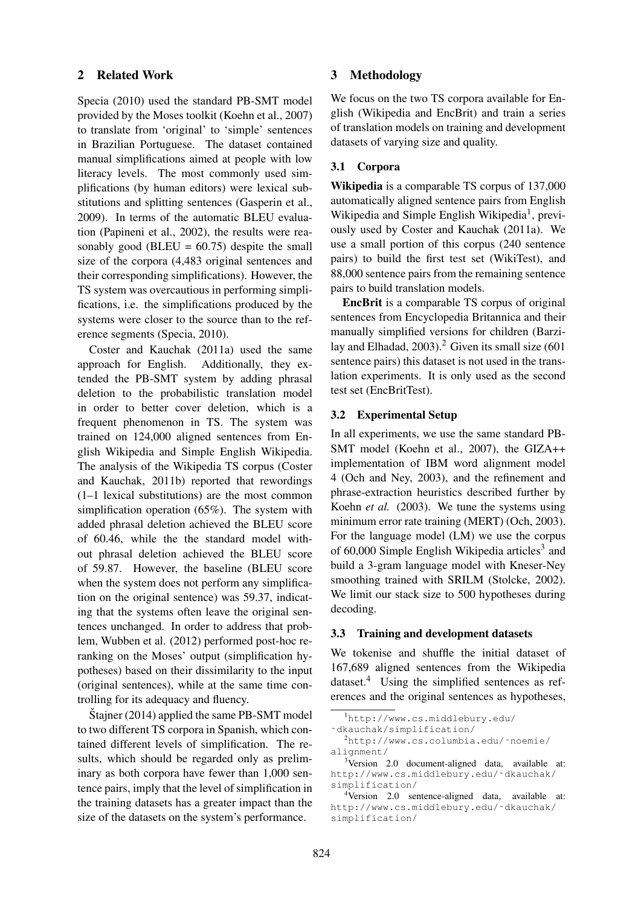## 2 Related Work

Specia (2010) used the standard PB-SMT model provided by the Moses toolkit (Koehn et al., 2007) to translate from 'original' to 'simple' sentences in Brazilian Portuguese. The dataset contained manual simplifications aimed at people with low literacy levels. The most commonly used simplifications (by human editors) were lexical substitutions and splitting sentences (Gasperin et al., 2009). In terms of the automatic BLEU evaluation (Papineni et al., 2002), the results were reasonably good (BLEU =  $60.75$ ) despite the small size of the corpora (4,483 original sentences and their corresponding simplifications). However, the TS system was overcautious in performing simplifications, i.e. the simplifications produced by the systems were closer to the source than to the reference segments (Specia, 2010).

Coster and Kauchak (2011a) used the same approach for English. Additionally, they extended the PB-SMT system by adding phrasal deletion to the probabilistic translation model in order to better cover deletion, which is a frequent phenomenon in TS. The system was trained on 124,000 aligned sentences from English Wikipedia and Simple English Wikipedia. The analysis of the Wikipedia TS corpus (Coster and Kauchak, 2011b) reported that rewordings (1–1 lexical substitutions) are the most common simplification operation (65%). The system with added phrasal deletion achieved the BLEU score of 60.46, while the the standard model without phrasal deletion achieved the BLEU score of 59.87. However, the baseline (BLEU score when the system does not perform any simplification on the original sentence) was 59.37, indicating that the systems often leave the original sentences unchanged. In order to address that problem, Wubben et al. (2012) performed post-hoc reranking on the Moses' output (simplification hypotheses) based on their dissimilarity to the input (original sentences), while at the same time controlling for its adequacy and fluency.

 $\text{Stainer}$  (2014) applied the same PB-SMT model to two different TS corpora in Spanish, which contained different levels of simplification. The results, which should be regarded only as preliminary as both corpora have fewer than 1,000 sentence pairs, imply that the level of simplification in the training datasets has a greater impact than the size of the datasets on the system's performance.

## 3 Methodology

We focus on the two TS corpora available for English (Wikipedia and EncBrit) and train a series of translation models on training and development datasets of varying size and quality.

## 3.1 Corpora

Wikipedia is a comparable TS corpus of 137,000 automatically aligned sentence pairs from English Wikipedia and Simple English Wikipedia<sup>1</sup>, previously used by Coster and Kauchak (2011a). We use a small portion of this corpus (240 sentence pairs) to build the first test set (WikiTest), and 88,000 sentence pairs from the remaining sentence pairs to build translation models.

EncBrit is a comparable TS corpus of original sentences from Encyclopedia Britannica and their manually simplified versions for children (Barzilay and Elhadad, 2003).<sup>2</sup> Given its small size  $(601$ sentence pairs) this dataset is not used in the translation experiments. It is only used as the second test set (EncBritTest).

## 3.2 Experimental Setup

In all experiments, we use the same standard PB-SMT model (Koehn et al., 2007), the GIZA++ implementation of IBM word alignment model 4 (Och and Ney, 2003), and the refinement and phrase-extraction heuristics described further by Koehn *et al.* (2003). We tune the systems using minimum error rate training (MERT) (Och, 2003). For the language model (LM) we use the corpus of  $60,000$  Simple English Wikipedia articles<sup>3</sup> and build a 3-gram language model with Kneser-Ney smoothing trained with SRILM (Stolcke, 2002). We limit our stack size to 500 hypotheses during decoding.

#### 3.3 Training and development datasets

We tokenise and shuffle the initial dataset of 167,689 aligned sentences from the Wikipedia dataset.<sup>4</sup> Using the simplified sentences as references and the original sentences as hypotheses,

<sup>1</sup>http://www.cs.middlebury.edu/

<sup>˜</sup>dkauchak/simplification/

<sup>2</sup>http://www.cs.columbia.edu/˜noemie/ alignment/

<sup>&</sup>lt;sup>3</sup>Version 2.0 document-aligned data, available at: http://www.cs.middlebury.edu/˜dkauchak/ simplification/

<sup>&</sup>lt;sup>4</sup>Version 2.0 sentence-aligned data, available at: http://www.cs.middlebury.edu/˜dkauchak/ simplification/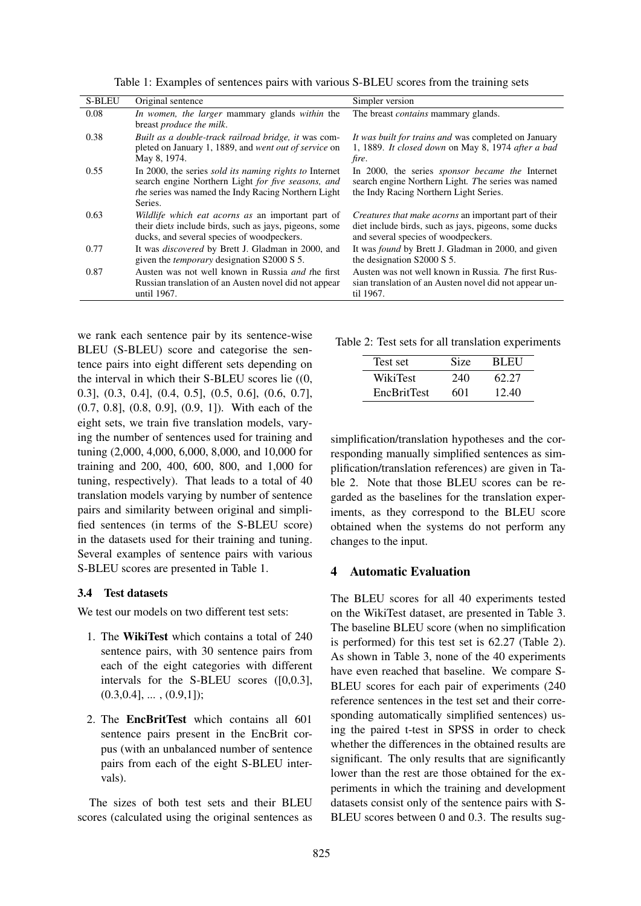| <b>S-BLEU</b> | Original sentence                                                                                                                                                                     | Simpler version                                                                                                                                              |
|---------------|---------------------------------------------------------------------------------------------------------------------------------------------------------------------------------------|--------------------------------------------------------------------------------------------------------------------------------------------------------------|
| 0.08          | In women, the larger mammary glands within the<br>breast <i>produce the milk</i> .                                                                                                    | The breast contains mammary glands.                                                                                                                          |
| 0.38          | Built as a double-track railroad bridge, it was com-<br>pleted on January 1, 1889, and went out of service on<br>May 8, 1974.                                                         | It was built for trains and was completed on January<br>1, 1889. It closed down on May 8, 1974 after a bad<br>fire.                                          |
| 0.55          | In 2000, the series <i>sold its naming rights to</i> Internet<br>search engine Northern Light for five seasons, and<br>the series was named the Indy Racing Northern Light<br>Series. | In 2000, the series <i>sponsor became the</i> Internet<br>search engine Northern Light. The series was named<br>the Indy Racing Northern Light Series.       |
| 0.63          | Wildlife which eat acorns as an important part of<br>their diets include birds, such as jays, pigeons, some<br>ducks, and several species of woodpeckers.                             | <i>Creatures that make acorns</i> an important part of their<br>diet include birds, such as jays, pigeons, some ducks<br>and several species of woodpeckers. |
| 0.77          | It was <i>discovered</i> by Brett J. Gladman in 2000, and<br>given the <i>temporary</i> designation S2000 S 5.                                                                        | It was <i>found</i> by Brett J. Gladman in 2000, and given<br>the designation S2000 S 5.                                                                     |
| 0.87          | Austen was not well known in Russia <i>and the first</i><br>Russian translation of an Austen novel did not appear<br>until 1967.                                                      | Austen was not well known in Russia. The first Rus-<br>sian translation of an Austen novel did not appear un-<br>til 1967.                                   |

Table 1: Examples of sentences pairs with various S-BLEU scores from the training sets

we rank each sentence pair by its sentence-wise BLEU (S-BLEU) score and categorise the sentence pairs into eight different sets depending on the interval in which their S-BLEU scores lie ((0, 0.3], (0.3, 0.4], (0.4, 0.5], (0.5, 0.6], (0.6, 0.7], (0.7, 0.8], (0.8, 0.9], (0.9, 1]). With each of the eight sets, we train five translation models, varying the number of sentences used for training and tuning (2,000, 4,000, 6,000, 8,000, and 10,000 for training and 200, 400, 600, 800, and 1,000 for tuning, respectively). That leads to a total of 40 translation models varying by number of sentence pairs and similarity between original and simplified sentences (in terms of the S-BLEU score) in the datasets used for their training and tuning. Several examples of sentence pairs with various S-BLEU scores are presented in Table 1.

## 3.4 Test datasets

We test our models on two different test sets:

- 1. The WikiTest which contains a total of 240 sentence pairs, with 30 sentence pairs from each of the eight categories with different intervals for the S-BLEU scores ([0,0.3],  $(0.3, 0.4], \ldots, (0.9, 1])$ ;
- 2. The EncBritTest which contains all 601 sentence pairs present in the EncBrit corpus (with an unbalanced number of sentence pairs from each of the eight S-BLEU intervals).

The sizes of both test sets and their BLEU scores (calculated using the original sentences as

Table 2: Test sets for all translation experiments

| Test set           | Size | BLEU  |
|--------------------|------|-------|
| WikiTest           | 240  | 62.27 |
| <b>EncBritTest</b> | 601  | 12.40 |

simplification/translation hypotheses and the corresponding manually simplified sentences as simplification/translation references) are given in Table 2. Note that those BLEU scores can be regarded as the baselines for the translation experiments, as they correspond to the BLEU score obtained when the systems do not perform any changes to the input.

## 4 Automatic Evaluation

The BLEU scores for all 40 experiments tested on the WikiTest dataset, are presented in Table 3. The baseline BLEU score (when no simplification is performed) for this test set is 62.27 (Table 2). As shown in Table 3, none of the 40 experiments have even reached that baseline. We compare S-BLEU scores for each pair of experiments (240 reference sentences in the test set and their corresponding automatically simplified sentences) using the paired t-test in SPSS in order to check whether the differences in the obtained results are significant. The only results that are significantly lower than the rest are those obtained for the experiments in which the training and development datasets consist only of the sentence pairs with S-BLEU scores between 0 and 0.3. The results sug-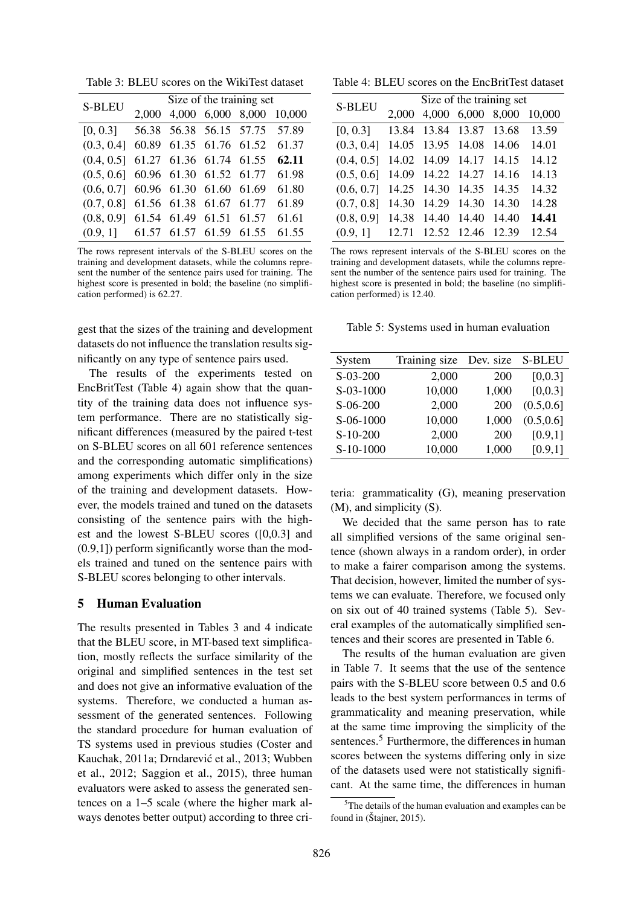Table 3: BLEU scores on the WikiTest dataset

| <b>S-BLEU</b>                        | Size of the training set |                         |  |       |                          |  |
|--------------------------------------|--------------------------|-------------------------|--|-------|--------------------------|--|
|                                      | 2.000                    |                         |  |       | 4,000 6,000 8,000 10,000 |  |
| [0, 0.3]                             |                          | 56.38 56.38 56.15 57.75 |  |       | 57.89                    |  |
| $(0.3, 0.4]$ 60.89 61.35 61.76 61.52 |                          |                         |  |       | 61.37                    |  |
| (0.4, 0.5]                           |                          | 61.27 61.36 61.74 61.55 |  |       | 62.11                    |  |
| (0.5, 0.6]                           |                          | 60.96 61.30 61.52 61.77 |  |       | 61.98                    |  |
| (0.6, 0.7]                           |                          | 60.96 61.30 61.60 61.69 |  |       | 61.80                    |  |
| (0.7, 0.8]                           |                          | 61.56 61.38 61.67 61.77 |  |       | 61.89                    |  |
| (0.8, 0.9]                           |                          | 61.54 61.49 61.51       |  | 61.57 | 61.61                    |  |
| (0.9, 1]                             |                          | 61.57 61.57 61.59 61.55 |  |       | 61.55                    |  |

The rows represent intervals of the S-BLEU scores on the training and development datasets, while the columns represent the number of the sentence pairs used for training. The highest score is presented in bold; the baseline (no simplification performed) is 62.27.

gest that the sizes of the training and development datasets do not influence the translation results significantly on any type of sentence pairs used.

The results of the experiments tested on EncBritTest (Table 4) again show that the quantity of the training data does not influence system performance. There are no statistically significant differences (measured by the paired t-test on S-BLEU scores on all 601 reference sentences and the corresponding automatic simplifications) among experiments which differ only in the size of the training and development datasets. However, the models trained and tuned on the datasets consisting of the sentence pairs with the highest and the lowest S-BLEU scores ([0,0.3] and (0.9,1]) perform significantly worse than the models trained and tuned on the sentence pairs with S-BLEU scores belonging to other intervals.

## 5 Human Evaluation

The results presented in Tables 3 and 4 indicate that the BLEU score, in MT-based text simplification, mostly reflects the surface similarity of the original and simplified sentences in the test set and does not give an informative evaluation of the systems. Therefore, we conducted a human assessment of the generated sentences. Following the standard procedure for human evaluation of TS systems used in previous studies (Coster and Kauchak, 2011a; Drndarević et al., 2013; Wubben et al., 2012; Saggion et al., 2015), three human evaluators were asked to assess the generated sentences on a 1–5 scale (where the higher mark always denotes better output) according to three cri-

Table 4: BLEU scores on the EncBritTest dataset

| <b>S-BLEU</b> | Size of the training set |                   |                   |       |        |  |
|---------------|--------------------------|-------------------|-------------------|-------|--------|--|
|               | 2,000                    |                   | 4,000 6,000 8,000 |       | 10,000 |  |
| [0, 0.3]      | 13.84                    | 13.84             | 13.87             | 13.68 | 13.59  |  |
| (0.3, 0.4]    | 14.05                    | 13.95             | 14.08             | 14.06 | 14.01  |  |
| (0.4, 0.5]    |                          | 14.02 14.09 14.17 |                   | 14.15 | 14.12  |  |
| (0.5, 0.6]    |                          | 14.09 14.22       | 14.27             | 14.16 | 14.13  |  |
| (0.6, 0.7]    |                          | 14.25 14.30 14.35 |                   | 14.35 | 14.32  |  |
| (0.7, 0.8]    | 14.30                    | 14.29             | 14.30             | 14.30 | 14.28  |  |
| (0.8, 0.9]    | 14.38                    | 14.40             | 14.40             | 14.40 | 14.41  |  |
| (0.9, 1]      | 12.71                    |                   | 12.52 12.46       | 12.39 | 12.54  |  |

The rows represent intervals of the S-BLEU scores on the training and development datasets, while the columns represent the number of the sentence pairs used for training. The highest score is presented in bold; the baseline (no simplification performed) is 12.40.

Table 5: Systems used in human evaluation

| System     | Training size | Dev. size | <b>S-BLEU</b> |
|------------|---------------|-----------|---------------|
| S-03-200   | 2,000         | 200       | [0, 0.3]      |
| S-03-1000  | 10,000        | 1,000     | [0, 0.3]      |
| S-06-200   | 2,000         | 200       | (0.5, 0.6]    |
| S-06-1000  | 10,000        | 1,000     | (0.5, 0.6]    |
| $S-10-200$ | 2,000         | 200       | [0.9,1]       |
| S-10-1000  | 10,000        | 1,000     | [0.9,1]       |
|            |               |           |               |

teria: grammaticality (G), meaning preservation (M), and simplicity (S).

We decided that the same person has to rate all simplified versions of the same original sentence (shown always in a random order), in order to make a fairer comparison among the systems. That decision, however, limited the number of systems we can evaluate. Therefore, we focused only on six out of 40 trained systems (Table 5). Several examples of the automatically simplified sentences and their scores are presented in Table 6.

The results of the human evaluation are given in Table 7. It seems that the use of the sentence pairs with the S-BLEU score between 0.5 and 0.6 leads to the best system performances in terms of grammaticality and meaning preservation, while at the same time improving the simplicity of the sentences.<sup>5</sup> Furthermore, the differences in human scores between the systems differing only in size of the datasets used were not statistically significant. At the same time, the differences in human

 $5$ The details of the human evaluation and examples can be found in (Štajner, 2015).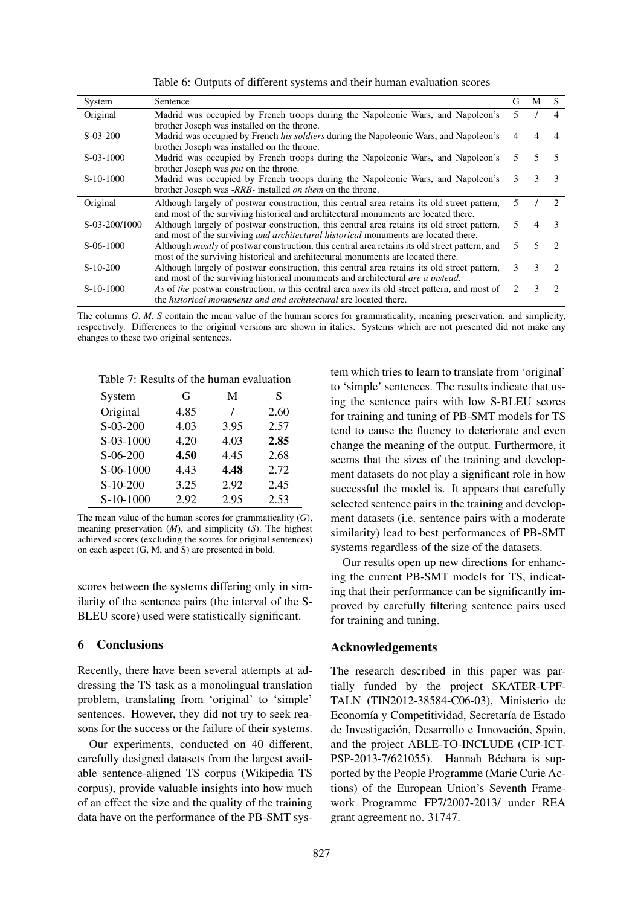|  |  |  | Table 6: Outputs of different systems and their human evaluation scores |  |
|--|--|--|-------------------------------------------------------------------------|--|
|  |  |  |                                                                         |  |

| System        | Sentence                                                                                                                                                                                  | G | М | S             |
|---------------|-------------------------------------------------------------------------------------------------------------------------------------------------------------------------------------------|---|---|---------------|
| Original      | Madrid was occupied by French troops during the Napoleonic Wars, and Napoleon's<br>brother Joseph was installed on the throne.                                                            | 5 |   | 4             |
| $S-03-200$    | Madrid was occupied by French his soldiers during the Napoleonic Wars, and Napoleon's<br>brother Joseph was installed on the throne.                                                      |   |   |               |
| $S-03-1000$   | Madrid was occupied by French troops during the Napoleonic Wars, and Napoleon's<br>brother Joseph was <i>put</i> on the throne.                                                           | 5 | 5 |               |
| $S-10-1000$   | Madrid was occupied by French troops during the Napoleonic Wars, and Napoleon's<br>brother Joseph was -RRB- installed on them on the throne.                                              | 3 | 3 | 3             |
| Original      | Although largely of postwar construction, this central area retains its old street pattern,<br>and most of the surviving historical and architectural monuments are located there.        | 5 |   | $\mathcal{D}$ |
| S-03-200/1000 | Although largely of postwar construction, this central area retains its old street pattern,<br>and most of the surviving <i>and architectural historical</i> monuments are located there. | 5 | 4 | $\mathcal{R}$ |
| $S-06-1000$   | Although <i>mostly</i> of postwar construction, this central area retains its old street pattern, and<br>most of the surviving historical and architectural monuments are located there.  | 5 | 5 | $\mathcal{D}$ |
| $S-10-200$    | Although largely of postwar construction, this central area retains its old street pattern,<br>and most of the surviving historical monuments and architectural <i>are a instead</i> .    | 3 | 3 | $\mathcal{D}$ |
| $S-10-1000$   | As of the postwar construction, in this central area uses its old street pattern, and most of<br>the <i>historical monuments and and architectural</i> are located there.                 | 2 | 3 | 2             |

The columns *G*, *M*, *S* contain the mean value of the human scores for grammaticality, meaning preservation, and simplicity, respectively. Differences to the original versions are shown in italics. Systems which are not presented did not make any changes to these two original sentences.

Table 7: Results of the human evaluation

| System     | G    | М    | S    |
|------------|------|------|------|
| Original   | 4.85 |      | 2.60 |
| $S-03-200$ | 4.03 | 3.95 | 2.57 |
| S-03-1000  | 4.20 | 4.03 | 2.85 |
| $S-06-200$ | 4.50 | 4.45 | 2.68 |
| S-06-1000  | 4.43 | 4.48 | 2.72 |
| $S-10-200$ | 3.25 | 2.92 | 2.45 |
| S-10-1000  | 2.92 | 2.95 | 2.53 |

The mean value of the human scores for grammaticality (*G*), meaning preservation (*M*), and simplicity (*S*). The highest achieved scores (excluding the scores for original sentences) on each aspect (G, M, and S) are presented in bold.

scores between the systems differing only in similarity of the sentence pairs (the interval of the S-BLEU score) used were statistically significant.

## 6 Conclusions

Recently, there have been several attempts at addressing the TS task as a monolingual translation problem, translating from 'original' to 'simple' sentences. However, they did not try to seek reasons for the success or the failure of their systems.

Our experiments, conducted on 40 different, carefully designed datasets from the largest available sentence-aligned TS corpus (Wikipedia TS corpus), provide valuable insights into how much of an effect the size and the quality of the training data have on the performance of the PB-SMT system which tries to learn to translate from 'original' to 'simple' sentences. The results indicate that using the sentence pairs with low S-BLEU scores for training and tuning of PB-SMT models for TS tend to cause the fluency to deteriorate and even change the meaning of the output. Furthermore, it seems that the sizes of the training and development datasets do not play a significant role in how successful the model is. It appears that carefully selected sentence pairs in the training and development datasets (i.e. sentence pairs with a moderate similarity) lead to best performances of PB-SMT systems regardless of the size of the datasets.

Our results open up new directions for enhancing the current PB-SMT models for TS, indicating that their performance can be significantly improved by carefully filtering sentence pairs used for training and tuning.

## Acknowledgements

The research described in this paper was partially funded by the project SKATER-UPF-TALN (TIN2012-38584-C06-03), Ministerio de Economía y Competitividad, Secretaría de Estado de Investigación, Desarrollo e Innovación, Spain, and the project ABLE-TO-INCLUDE (CIP-ICT-PSP-2013-7/621055). Hannah Béchara is supported by the People Programme (Marie Curie Actions) of the European Union's Seventh Framework Programme FP7/2007-2013/ under REA grant agreement no. 31747.